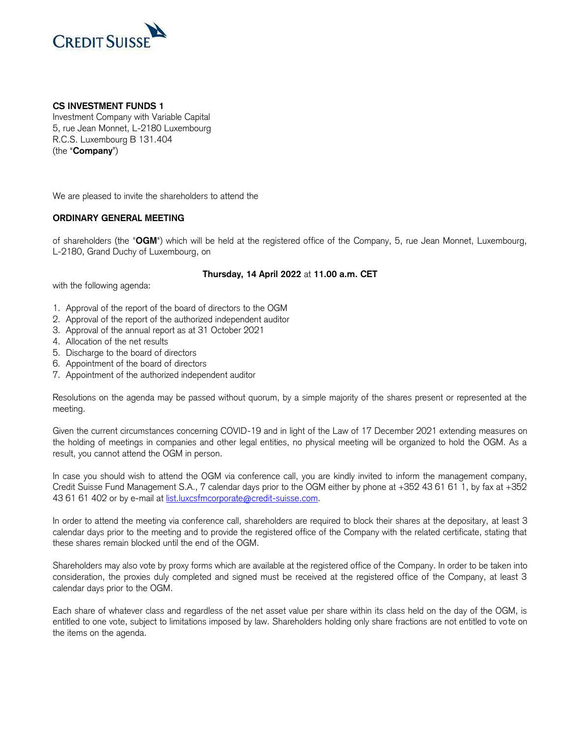

## **CS INVESTMENT FUNDS 1**

Investment Company with Variable Capital 5, rue Jean Monnet, L-2180 Luxembourg R.C.S. Luxembourg B 131.404 (the "**Company**")

We are pleased to invite the shareholders to attend the

## **ORDINARY GENERAL MEETING**

 of shareholders (the "**OGM**") which will be held at the registered office of the Company, 5, rue Jean Monnet, Luxembourg, L-2180, Grand Duchy of Luxembourg, on

## **Thursday, 14 April 2022** at **11.00 a.m. CET**

with the following agenda:

- 1. Approval of the report of the board of directors to the OGM
- 2. Approval of the report of the authorized independent auditor
- 3. Approval of the annual report as at 31 October 2021
- 4. Allocation of the net results
- 5. Discharge to the board of directors
- 6. Appointment of the board of directors
- 7. Appointment of the authorized independent auditor

 Resolutions on the agenda may be passed without quorum, by a simple majority of the shares present or represented at the meeting.

 Given the current circumstances concerning COVID-19 and in light of the Law of 17 December 2021 extending measures on the holding of meetings in companies and other legal entities, no physical meeting will be organized to hold the OGM. As a result, you cannot attend the OGM in person.

 In case you should wish to attend the OGM via conference call, you are kindly invited to inform the management company, Credit Suisse Fund Management S.A., 7 calendar days prior to the OGM either by phone at +352 43 61 61 1, by fax at +352 43 61 61 402 or by e-mail at [list.luxcsfmcorporate@credit-suisse.com.](mailto:list.luxcsfmcorporate@credit-suisse.com)

 In order to attend the meeting via conference call, shareholders are required to block their shares at the depositary, at least 3 calendar days prior to the meeting and to provide the registered office of the Company with the related certificate, stating that these shares remain blocked until the end of the OGM.

 Shareholders may also vote by proxy forms which are available at the registered office of the Company. In order to be taken into consideration, the proxies duly completed and signed must be received at the registered office of the Company, at least 3 calendar days prior to the OGM.

 Each share of whatever class and regardless of the net asset value per share within its class held on the day of the OGM, is entitled to one vote, subject to limitations imposed by law. Shareholders holding only share fractions are not entitled to vote on the items on the agenda.